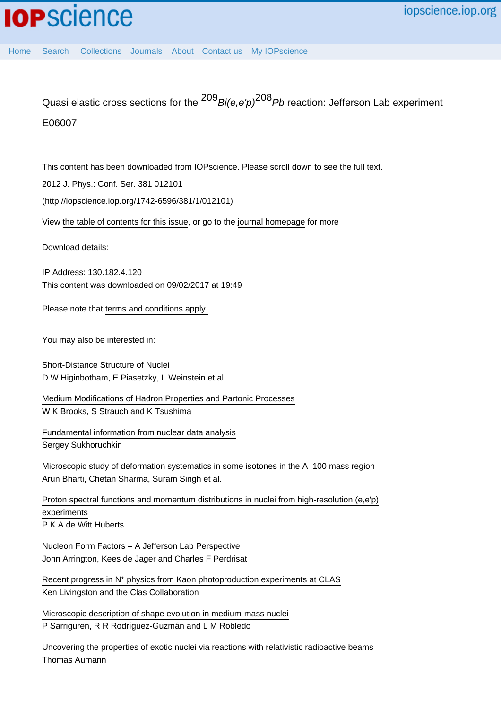Quasi elastic cross sections for the  $^{209}$  Bi(e,e'p)<sup>208</sup> Pb reaction: Jefferson Lab experiment E06007

This content has been downloaded from IOPscience. Please scroll down to see the full text.

2012 J. Phys.: Conf. Ser. 381 012101

(http://iopscience.iop.org/1742-6596/381/1/012101)

View [the table of contents for this issue](http://iopscience.iop.org/1742-6596/381/1), or go to the [journal homepage](http://iopscience.iop.org/1742-6596) for more

Download details:

IP Address: 130.182.4.120 This content was downloaded on 09/02/2017 at 19:49

Please note that [terms and conditions apply.](http://iopscience.iop.org/page/terms)

You may also be interested in:

[Short-Distance Structure of Nuclei](http://iopscience.iop.org/article/10.1088/1742-6596/299/1/012010) D W Higinbotham, E Piasetzky, L Weinstein et al.

[Medium Modifications of Hadron Properties and Partonic Processes](http://iopscience.iop.org/article/10.1088/1742-6596/299/1/012011) W K Brooks, S Strauch and K Tsushima

[Fundamental information from nuclear data analysis](http://iopscience.iop.org/article/10.1088/1742-6596/381/1/012076) Sergey Sukhoruchkin

[Microscopic study of deformation systematics in some isotones in the A 100 mass region](http://iopscience.iop.org/article/10.1088/1742-6596/381/1/012133) Arun Bharti, Chetan Sharma, Suram Singh et al.

[Proton spectral functions and momentum distributions in nuclei from high-resolution \(e,e'p\)](http://iopscience.iop.org/article/10.1088/0954-3899/16/4/004) [experiments](http://iopscience.iop.org/article/10.1088/0954-3899/16/4/004) P K A de Witt Huberts

[Nucleon Form Factors – A Jefferson Lab Perspective](http://iopscience.iop.org/article/10.1088/1742-6596/299/1/012002) John Arrington, Kees de Jager and Charles F Perdrisat

[Recent progress in N\\* physics from Kaon photoproduction experiments at CLAS](http://iopscience.iop.org/article/10.1088/1742-6596/381/1/012026) Ken Livingston and the Clas Collaboration

[Microscopic description of shape evolution in medium-mass nuclei](http://iopscience.iop.org/article/10.1088/1742-6596/205/1/012024) P Sarriguren, R R Rodríguez-Guzmán and L M Robledo

[Uncovering the properties of exotic nuclei via reactions with relativistic radioactive beams](http://iopscience.iop.org/article/10.1088/1742-6596/381/1/012008) Thomas Aumann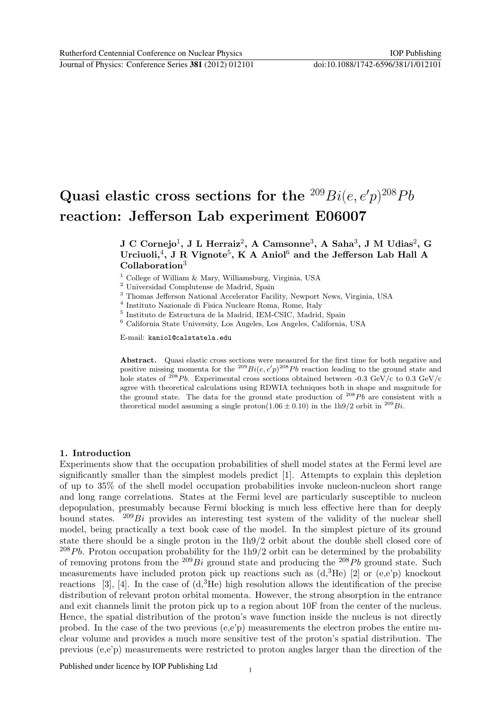# Quasi elastic cross sections for the  $^{209}Bi(e, e'p)^{208}Pb$ reaction: Jefferson Lab experiment E06007

## $\rm J~C~Cornejo^{1},~J~L~Herraiz^{2},~A~Camsonne^{3},~A~Saha^{3},~J~M~Udias^{2},~G$ Urciuoli,<sup>4</sup>, J R Vignote<sup>5</sup>, K A Aniol<sup>6</sup> and the Jefferson Lab Hall A Collaboration<sup>3</sup>

- <sup>1</sup> College of William & Mary, Williamsburg, Virginia, USA
- <sup>2</sup> Universidad Complutense de Madrid, Spain
- <sup>3</sup> Thomas Jefferson National Accelerator Facility, Newport News, Virginia, USA
- 4 Instituto Nazionale di Fisica Nucleare Roma, Rome, Italy
- 5 Instituto de Estructura de la Madrid, IEM-CSIC, Madrid, Spain
- $^6$  California State University, Los Angeles, Los Angeles, California, USA

E-mail: kaniol@calstatela.edu

Abstract. Quasi elastic cross sections were measured for the first time for both negative and positive missing momenta for the <sup>209</sup> $Bi(e, e'p)^{208}Pb$  reaction leading to the ground state and hole states of <sup>208</sup>Pb. Experimental cross sections obtained between -0.3 GeV/c to 0.3 GeV/c agree with theoretical calculations using RDWIA techniques both in shape and magnitude for the ground state. The data for the ground state production of  $^{208}Pb$  are consistent with a theoretical model assuming a single proton(1.06  $\pm$  0.10) in the 1h9/2 orbit in <sup>209</sup>Bi.

#### 1. Introduction

Experiments show that the occupation probabilities of shell model states at the Fermi level are significantly smaller than the simplest models predict [1]. Attempts to explain this depletion of up to 35% of the shell model occupation probabilities invoke nucleon-nucleon short range and long range correlations. States at the Fermi level are particularly susceptible to nucleon depopulation, presumably because Fermi blocking is much less effective here than for deeply bound states. <sup>209</sup>Bi provides an interesting test system of the validity of the nuclear shell model, being practically a text book case of the model. In the simplest picture of its ground state there should be a single proton in the 1h9/2 orbit about the double shell closed core of  $^{208}Pb$ . Proton occupation probability for the 1h9/2 orbit can be determined by the probability of removing protons from the  $^{209}Bi$  ground state and producing the  $^{208}Pb$  ground state. Such measurements have included proton pick up reactions such as  $(d,{}^{3}He)$  [2] or  $(e,e)p$  knockout reactions [3], [4]. In the case of  $(d,{}^{3}He)$  high resolution allows the identification of the precise distribution of relevant proton orbital momenta. However, the strong absorption in the entrance and exit channels limit the proton pick up to a region about 10F from the center of the nucleus. Hence, the spatial distribution of the proton's wave function inside the nucleus is not directly probed. In the case of the two previous  $(e,e'p)$  measurements the electron probes the entire nuclear volume and provides a much more sensitive test of the proton's spatial distribution. The previous (e,e'p) measurements were restricted to proton angles larger than the direction of the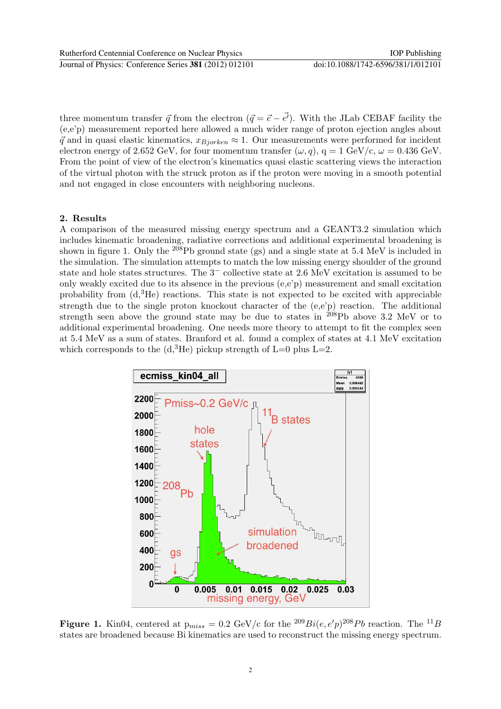three momentum transfer  $\vec{q}$  from the electron  $(\vec{q} = \vec{e} - \vec{e'})$ . With the JLab CEBAF facility the (e,e'p) measurement reported here allowed a much wider range of proton ejection angles about  $\vec{q}$  and in quasi elastic kinematics,  $x_{Bjorken} \approx 1$ . Our measurements were performed for incident electron energy of 2.652 GeV, for four momentum transfer  $(\omega, q)$ ,  $q = 1$  GeV/c,  $\omega = 0.436$  GeV. From the point of view of the electron's kinematics quasi elastic scattering views the interaction of the virtual photon with the struck proton as if the proton were moving in a smooth potential and not engaged in close encounters with neighboring nucleons.

## 2. Results

A comparison of the measured missing energy spectrum and a GEANT3.2 simulation which includes kinematic broadening, radiative corrections and additional experimental broadening is shown in figure 1. Only the <sup>208</sup>Pb ground state (gs) and a single state at 5.4 MeV is included in the simulation. The simulation attempts to match the low missing energy shoulder of the ground state and hole states structures. The 3<sup>−</sup> collective state at 2.6 MeV excitation is assumed to be only weakly excited due to its absence in the previous (e,e'p) measurement and small excitation probability from  $(d<sup>3</sup>He)$  reactions. This state is not expected to be excited with appreciable strength due to the single proton knockout character of the (e,e'p) reaction. The additional strength seen above the ground state may be due to states in <sup>208</sup>Pb above 3.2 MeV or to additional experimental broadening. One needs more theory to attempt to fit the complex seen at 5.4 MeV as a sum of states. Branford et al. found a complex of states at 4.1 MeV excitation which corresponds to the  $(d<sup>3</sup>He)$  pickup strength of L=0 plus L=2.



**Figure 1.** Kin04, centered at  $p_{miss} = 0.2$  GeV/c for the  ${}^{209}Bi(e, e'p) {}^{208}Pb$  reaction. The  ${}^{11}B$ states are broadened because Bi kinematics are used to reconstruct the missing energy spectrum.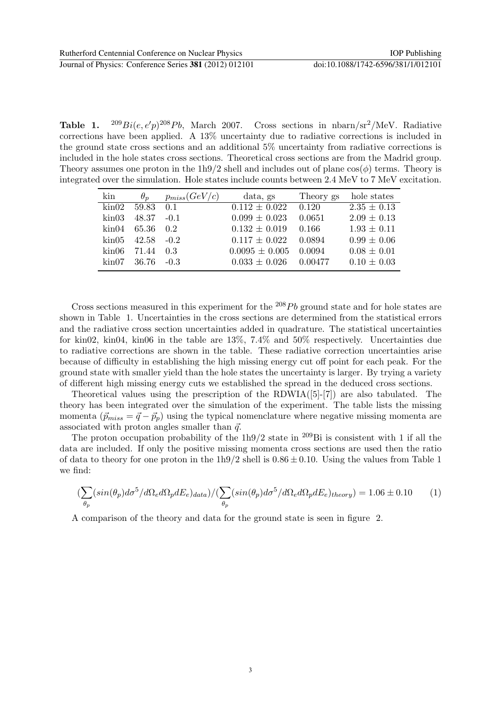**Table 1.**  $^{209}Bi(e, e'p)^{208}Pb$ , March 2007. Cross sections in nbarn/sr<sup>2</sup>/MeV. Radiative corrections have been applied. A 13% uncertainty due to radiative corrections is included in the ground state cross sections and an additional 5% uncertainty from radiative corrections is included in the hole states cross sections. Theoretical cross sections are from the Madrid group. Theory assumes one proton in the 1h9/2 shell and includes out of plane  $cos(\phi)$  terms. Theory is integrated over the simulation. Hole states include counts between 2.4 MeV to 7 MeV excitation.

| kin              | $\theta_p$ | $p_{miss}(GeV/c)$ | data, gs           | Theory gs | hole states     |
|------------------|------------|-------------------|--------------------|-----------|-----------------|
| $\mathrm{kin}02$ | 59.83      | $\bigcirc$ 0.1    | $0.112 \pm 0.022$  | 0.120     | $2.35 \pm 0.13$ |
| $\mathrm{kin}03$ | 48.37      | $-0.1$            | $0.099 \pm 0.023$  | 0.0651    | $2.09 \pm 0.13$ |
| kin04            | 65.36      | - 0.2             | $0.132 \pm 0.019$  | 0.166     | $1.93 \pm 0.11$ |
| kin05            | 42.58      | $-0.2$            | $0.117 \pm 0.022$  | 0.0894    | $0.99 \pm 0.06$ |
| $\mathrm{kin}06$ | 71.44      | 0.3               | $0.0095 \pm 0.005$ | 0.0094    | $0.08 \pm 0.01$ |
| $\mathrm{kin}07$ | - 36.76    | $-0.3$            | $0.033 \pm 0.026$  | 0.00477   | $0.10 \pm 0.03$ |

Cross sections measured in this experiment for the  $^{208}Pb$  ground state and for hole states are shown in Table 1. Uncertainties in the cross sections are determined from the statistical errors and the radiative cross section uncertainties added in quadrature. The statistical uncertainties for kin02, kin04, kin06 in the table are 13%, 7.4% and 50% respectively. Uncertainties due to radiative corrections are shown in the table. These radiative correction uncertainties arise because of difficulty in establishing the high missing energy cut off point for each peak. For the ground state with smaller yield than the hole states the uncertainty is larger. By trying a variety of different high missing energy cuts we established the spread in the deduced cross sections.

Theoretical values using the prescription of the RDWIA([5]-[7]) are also tabulated. The theory has been integrated over the simulation of the experiment. The table lists the missing momenta  $(\vec{p}_{miss} = \vec{q} - \vec{p}_p)$  using the typical nomenclature where negative missing momenta are associated with proton angles smaller than  $\vec{q}$ .

The proton occupation probability of the 1h9/2 state in <sup>209</sup>Bi is consistent with 1 if all the data are included. If only the positive missing momenta cross sections are used then the ratio of data to theory for one proton in the  $1h9/2$  shell is  $0.86 \pm 0.10$ . Using the values from Table 1 we find:

$$
\left(\sum_{\theta_p} (sin(\theta_p)d\sigma^5/d\Omega_e d\Omega_p dE_e)_{data}\right)/(\sum_{\theta_p} (sin(\theta_p)d\sigma^5/d\Omega_e d\Omega_p dE_e)_{theory}) = 1.06 \pm 0.10
$$
 (1)

A comparison of the theory and data for the ground state is seen in figure 2.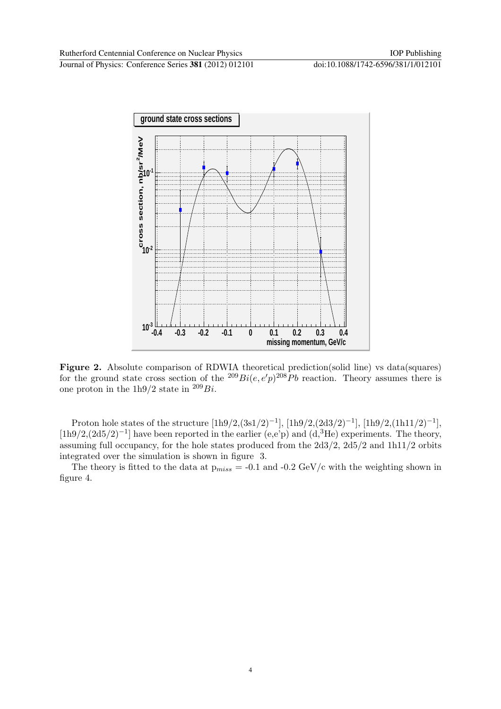

Figure 2. Absolute comparison of RDWIA theoretical prediction(solid line) vs data(squares) for the ground state cross section of the  $^{209}Bi(e, e'p)^{208}Pb$  reaction. Theory assumes there is one proton in the 1h9/2 state in  $^{209}Bi$ .

Proton hole states of the structure  $[1h9/2,(3s1/2)^{-1}]$ ,  $[1h9/2,(2d3/2)^{-1}]$ ,  $[1h9/2,(1h11/2)^{-1}]$ , [1h9/2,(2d5/2)−<sup>1</sup> ] have been reported in the earlier (e,e'p) and (d,3He) experiments. The theory, assuming full occupancy, for the hole states produced from the 2d3/2, 2d5/2 and 1h11/2 orbits integrated over the simulation is shown in figure 3.

The theory is fitted to the data at  $p_{miss} = -0.1$  and  $-0.2$  GeV/c with the weighting shown in figure 4.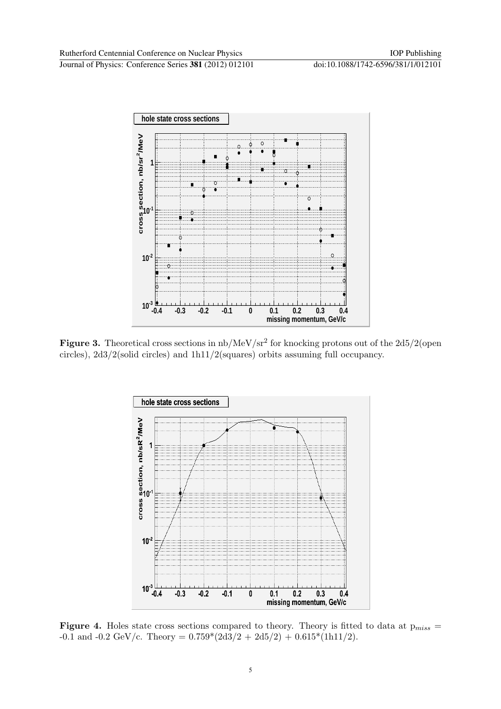

Figure 3. Theoretical cross sections in  $\rm nb/MeV/sr^2$  for knocking protons out of the 2d5/2(open circles), 2d3/2(solid circles) and 1h11/2(squares) orbits assuming full occupancy.



Figure 4. Holes state cross sections compared to theory. Theory is fitted to data at  $p_{miss}$  = -0.1 and -0.2 GeV/c. Theory =  $0.759*(2d3/2 + 2d5/2) + 0.615*(1h11/2)$ .